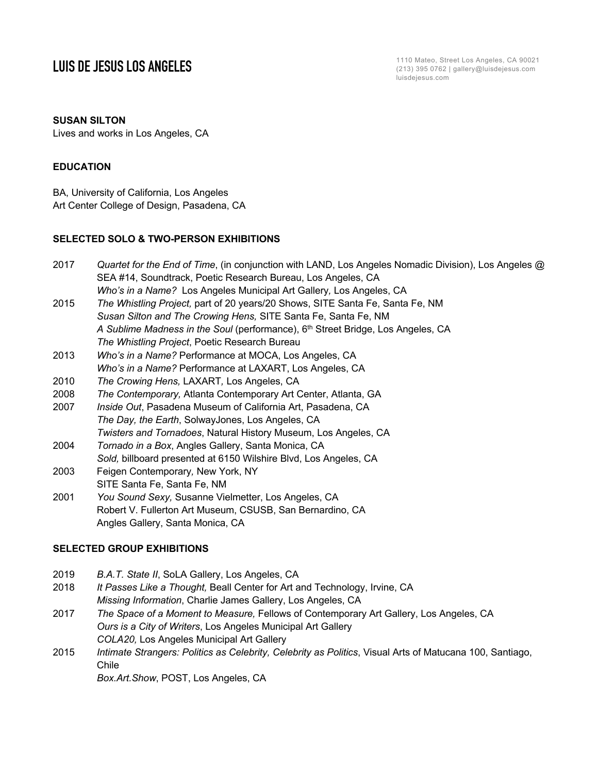**LUIS DE JESUS LOS ANGELES**<br>
1110 Mateo, Street Los Angeles, CA 90021<br>
213) 395 0762 | gallery@luisdejesus.com (213) 395 0762 | gallery@luisdejesus.com luisdejesus.com

## **SUSAN SILTON**

Lives and works in Los Angeles, CA

### **EDUCATION**

BA, University of California, Los Angeles Art Center College of Design, Pasadena, CA

## **SELECTED SOLO & TWO-PERSON EXHIBITIONS**

| 2017 | Quartet for the End of Time, (in conjunction with LAND, Los Angeles Nomadic Division), Los Angeles @ |
|------|------------------------------------------------------------------------------------------------------|
|      | SEA #14, Soundtrack, Poetic Research Bureau, Los Angeles, CA                                         |
|      | Who's in a Name? Los Angeles Municipal Art Gallery, Los Angeles, CA                                  |

- 2015 *The Whistling Project,* part of 20 years/20 Shows, SITE Santa Fe, Santa Fe, NM *Susan Silton and The Crowing Hens,* SITE Santa Fe, Santa Fe, NM A Sublime Madness in the Soul (performance), 6<sup>th</sup> Street Bridge, Los Angeles, CA *The Whistling Project*, Poetic Research Bureau
- 2013 *Who's in a Name?* Performance at MOCA, Los Angeles, CA *Who's in a Name?* Performance at LAXART, Los Angeles, CA
- 2010 *The Crowing Hens,* LAXART*,* Los Angeles, CA
- 2008 *The Contemporary,* Atlanta Contemporary Art Center, Atlanta, GA
- 2007 *Inside Out*, Pasadena Museum of California Art, Pasadena, CA *The Day, the Earth*, SolwayJones, Los Angeles, CA
- *Twisters and Tornadoes*, Natural History Museum, Los Angeles, CA
- 2004 *Tornado in a Box*, Angles Gallery, Santa Monica, CA
- *Sold,* billboard presented at 6150 Wilshire Blvd, Los Angeles, CA
- 2003 Feigen Contemporary*,* New York, NY

SITE Santa Fe, Santa Fe, NM

2001 *You Sound Sexy,* Susanne Vielmetter, Los Angeles, CA Robert V. Fullerton Art Museum, CSUSB, San Bernardino, CA Angles Gallery, Santa Monica, CA

## **SELECTED GROUP EXHIBITIONS**

- 2019 *B.A.T. State II*, SoLA Gallery, Los Angeles, CA
- 2018 *It Passes Like a Thought,* Beall Center for Art and Technology, Irvine, CA *Missing Information*, Charlie James Gallery, Los Angeles, CA
- 2017 *The Space of a Moment to Measure,* Fellows of Contemporary Art Gallery, Los Angeles, CA *Ours is a City of Writers*, Los Angeles Municipal Art Gallery *COLA20,* Los Angeles Municipal Art Gallery
- 2015 *Intimate Strangers: Politics as Celebrity, Celebrity as Politics*, Visual Arts of Matucana 100, Santiago, Chile

*Box.Art.Show*, POST, Los Angeles, CA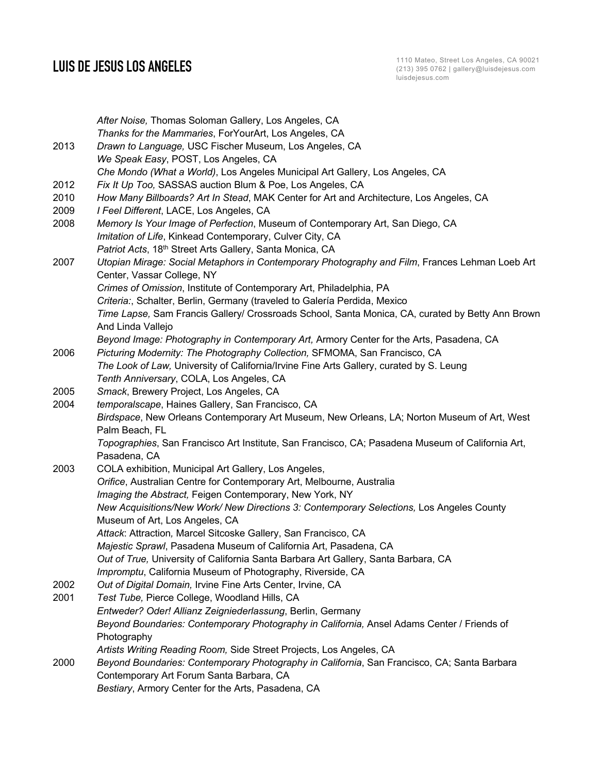|      | After Noise, Thomas Soloman Gallery, Los Angeles, CA                                             |
|------|--------------------------------------------------------------------------------------------------|
|      | Thanks for the Mammaries, ForYourArt, Los Angeles, CA                                            |
| 2013 | Drawn to Language, USC Fischer Museum, Los Angeles, CA                                           |
|      | We Speak Easy, POST, Los Angeles, CA                                                             |
|      | Che Mondo (What a World), Los Angeles Municipal Art Gallery, Los Angeles, CA                     |
| 2012 | Fix It Up Too, SASSAS auction Blum & Poe, Los Angeles, CA                                        |
| 2010 | How Many Billboards? Art In Stead, MAK Center for Art and Architecture, Los Angeles, CA          |
| 2009 | I Feel Different, LACE, Los Angeles, CA                                                          |
| 2008 | Memory Is Your Image of Perfection, Museum of Contemporary Art, San Diego, CA                    |
|      | Imitation of Life, Kinkead Contemporary, Culver City, CA                                         |
|      | Patriot Acts, 18th Street Arts Gallery, Santa Monica, CA                                         |
| 2007 | Utopian Mirage: Social Metaphors in Contemporary Photography and Film, Frances Lehman Loeb Art   |
|      | Center, Vassar College, NY                                                                       |
|      | Crimes of Omission, Institute of Contemporary Art, Philadelphia, PA                              |
|      | Criteria:, Schalter, Berlin, Germany (traveled to Galería Perdida, Mexico                        |
|      | Time Lapse, Sam Francis Gallery/ Crossroads School, Santa Monica, CA, curated by Betty Ann Brown |
|      | And Linda Vallejo                                                                                |
|      | Beyond Image: Photography in Contemporary Art, Armory Center for the Arts, Pasadena, CA          |
| 2006 | Picturing Modernity: The Photography Collection, SFMOMA, San Francisco, CA                       |
|      | The Look of Law, University of California/Irvine Fine Arts Gallery, curated by S. Leung          |
|      | Tenth Anniversary, COLA, Los Angeles, CA                                                         |
| 2005 | Smack, Brewery Project, Los Angeles, CA                                                          |
| 2004 | temporalscape, Haines Gallery, San Francisco, CA                                                 |
|      | Birdspace, New Orleans Contemporary Art Museum, New Orleans, LA; Norton Museum of Art, West      |
|      | Palm Beach, FL                                                                                   |
|      | Topographies, San Francisco Art Institute, San Francisco, CA; Pasadena Museum of California Art, |
|      | Pasadena, CA                                                                                     |
| 2003 | COLA exhibition, Municipal Art Gallery, Los Angeles,                                             |
|      | Orifice, Australian Centre for Contemporary Art, Melbourne, Australia                            |
|      | Imaging the Abstract, Feigen Contemporary, New York, NY                                          |
|      | New Acquisitions/New Work/ New Directions 3: Contemporary Selections, Los Angeles County         |
|      | Museum of Art, Los Angeles, CA                                                                   |
|      | Attack: Attraction, Marcel Sitcoske Gallery, San Francisco, CA                                   |
|      | Majestic Sprawl, Pasadena Museum of California Art, Pasadena, CA                                 |
|      | Out of True, University of California Santa Barbara Art Gallery, Santa Barbara, CA               |
|      | Impromptu, California Museum of Photography, Riverside, CA                                       |
| 2002 | Out of Digital Domain, Irvine Fine Arts Center, Irvine, CA                                       |
| 2001 | Test Tube, Pierce College, Woodland Hills, CA                                                    |
|      | Entweder? Oder! Allianz Zeigniederlassung, Berlin, Germany                                       |
|      | Beyond Boundaries: Contemporary Photography in California, Ansel Adams Center / Friends of       |
|      | Photography                                                                                      |
|      | Artists Writing Reading Room, Side Street Projects, Los Angeles, CA                              |
| 2000 | Beyond Boundaries: Contemporary Photography in California, San Francisco, CA; Santa Barbara      |
|      | Contemporary Art Forum Santa Barbara, CA                                                         |
|      | Bestiary, Armory Center for the Arts, Pasadena, CA                                               |
|      |                                                                                                  |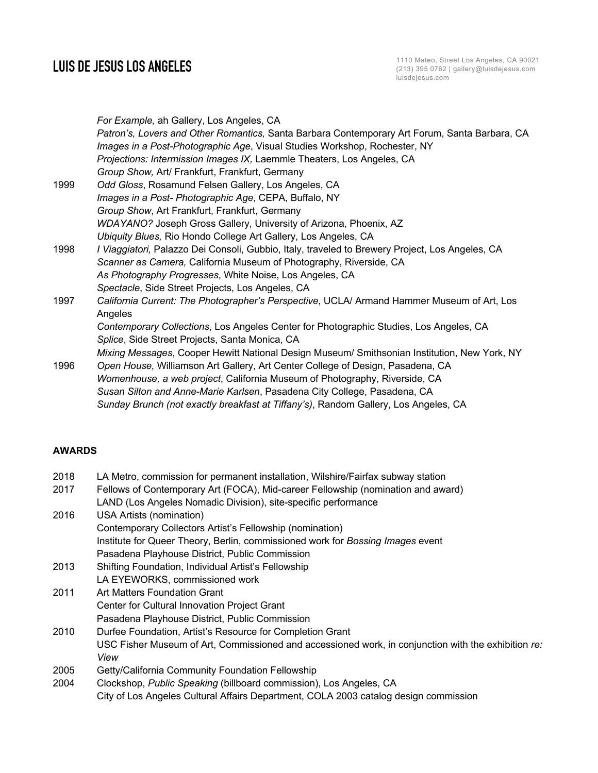|      | For Example, ah Gallery, Los Angeles, CA                                                        |
|------|-------------------------------------------------------------------------------------------------|
|      | Patron's, Lovers and Other Romantics, Santa Barbara Contemporary Art Forum, Santa Barbara, CA   |
|      | Images in a Post-Photographic Age, Visual Studies Workshop, Rochester, NY                       |
|      | Projections: Intermission Images IX, Laemmle Theaters, Los Angeles, CA                          |
|      | Group Show, Art/ Frankfurt, Frankfurt, Germany                                                  |
| 1999 | Odd Gloss, Rosamund Felsen Gallery, Los Angeles, CA                                             |
|      | Images in a Post- Photographic Age, CEPA, Buffalo, NY                                           |
|      | Group Show, Art Frankfurt, Frankfurt, Germany                                                   |
|      | WDAYANO? Joseph Gross Gallery, University of Arizona, Phoenix, AZ                               |
|      | Ubiquity Blues, Rio Hondo College Art Gallery, Los Angeles, CA                                  |
| 1998 | I Viaggiatori, Palazzo Dei Consoli, Gubbio, Italy, traveled to Brewery Project, Los Angeles, CA |
|      | Scanner as Camera, California Museum of Photography, Riverside, CA                              |
|      | As Photography Progresses, White Noise, Los Angeles, CA                                         |
|      | Spectacle, Side Street Projects, Los Angeles, CA                                                |
| 1997 | California Current: The Photographer's Perspective, UCLA/ Armand Hammer Museum of Art, Los      |
|      | Angeles                                                                                         |
|      | Contemporary Collections, Los Angeles Center for Photographic Studies, Los Angeles, CA          |
|      | Splice, Side Street Projects, Santa Monica, CA                                                  |
|      | Mixing Messages, Cooper Hewitt National Design Museum/ Smithsonian Institution, New York, NY    |
| 1996 | Open House, Williamson Art Gallery, Art Center College of Design, Pasadena, CA                  |
|      | Womenhouse, a web project, California Museum of Photography, Riverside, CA                      |
|      | Susan Silton and Anne-Marie Karlsen, Pasadena City College, Pasadena, CA                        |
|      | Sunday Brunch (not exactly breakfast at Tiffany's), Random Gallery, Los Angeles, CA             |

# **AWARDS**

| 2018 | LA Metro, commission for permanent installation, Wilshire/Fairfax subway station                    |
|------|-----------------------------------------------------------------------------------------------------|
| 2017 | Fellows of Contemporary Art (FOCA), Mid-career Fellowship (nomination and award)                    |
|      | LAND (Los Angeles Nomadic Division), site-specific performance                                      |
| 2016 | <b>USA Artists (nomination)</b>                                                                     |
|      | Contemporary Collectors Artist's Fellowship (nomination)                                            |
|      | Institute for Queer Theory, Berlin, commissioned work for Bossing Images event                      |
|      | Pasadena Playhouse District, Public Commission                                                      |
| 2013 | Shifting Foundation, Individual Artist's Fellowship                                                 |
|      | LA EYEWORKS, commissioned work                                                                      |
| 2011 | Art Matters Foundation Grant                                                                        |
|      | Center for Cultural Innovation Project Grant                                                        |
|      | Pasadena Playhouse District, Public Commission                                                      |
| 2010 | Durfee Foundation, Artist's Resource for Completion Grant                                           |
|      | USC Fisher Museum of Art, Commissioned and accessioned work, in conjunction with the exhibition re: |
|      | View                                                                                                |
| 2005 | Getty/California Community Foundation Fellowship                                                    |
| 2004 | Clockshop, Public Speaking (billboard commission), Los Angeles, CA                                  |
|      | City of Los Angeles Cultural Affairs Department, COLA 2003 catalog design commission                |
|      |                                                                                                     |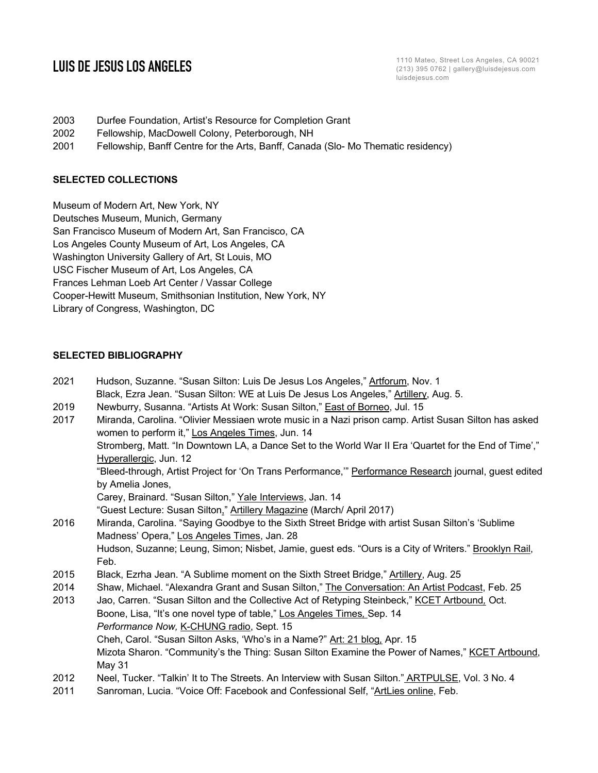- 2003 Durfee Foundation, Artist's Resource for Completion Grant
- 2002 Fellowship, MacDowell Colony, Peterborough, NH
- 2001 Fellowship, Banff Centre for the Arts, Banff, Canada (Slo- Mo Thematic residency)

## **SELECTED COLLECTIONS**

Museum of Modern Art, New York, NY Deutsches Museum, Munich, Germany San Francisco Museum of Modern Art, San Francisco, CA Los Angeles County Museum of Art, Los Angeles, CA Washington University Gallery of Art, St Louis, MO USC Fischer Museum of Art, Los Angeles, CA Frances Lehman Loeb Art Center / Vassar College Cooper-Hewitt Museum, Smithsonian Institution, New York, NY Library of Congress, Washington, DC

# **SELECTED BIBLIOGRAPHY**

| 2021 | Hudson, Suzanne. "Susan Silton: Luis De Jesus Los Angeles," Artforum, Nov. 1                           |
|------|--------------------------------------------------------------------------------------------------------|
|      | Black, Ezra Jean. "Susan Silton: WE at Luis De Jesus Los Angeles," Artillery, Aug. 5.                  |
| 2019 | Newburry, Susanna. "Artists At Work: Susan Silton," East of Borneo, Jul. 15                            |
| 2017 | Miranda, Carolina. "Olivier Messiaen wrote music in a Nazi prison camp. Artist Susan Silton has asked  |
|      | women to perform it," Los Angeles Times, Jun. 14                                                       |
|      | "Stromberg, Matt. "In Downtown LA, a Dance Set to the World War II Era 'Quartet for the End of Time'," |
|      | Hyperallergic, Jun. 12                                                                                 |
|      | "Bleed-through, Artist Project for 'On Trans Performance," Performance Research journal, guest edited  |
|      | by Amelia Jones,                                                                                       |
|      | Carey, Brainard. "Susan Silton," Yale Interviews, Jan. 14                                              |
|      | "Guest Lecture: Susan Silton," Artillery Magazine (March/ April 2017)                                  |
| 2016 | Miranda, Carolina. "Saying Goodbye to the Sixth Street Bridge with artist Susan Silton's 'Sublime      |
|      | Madness' Opera," Los Angeles Times, Jan. 28                                                            |
|      | Hudson, Suzanne; Leung, Simon; Nisbet, Jamie, guest eds. "Ours is a City of Writers." Brooklyn Rail,   |
|      | Feb.                                                                                                   |
| 2015 | Black, Ezrha Jean. "A Sublime moment on the Sixth Street Bridge," Artillery, Aug. 25                   |
| 2014 | Shaw, Michael. "Alexandra Grant and Susan Silton," The Conversation: An Artist Podcast, Feb. 25        |
| 2013 | Jao, Carren. "Susan Silton and the Collective Act of Retyping Steinbeck," KCET Artbound. Oct.          |
|      | Boone, Lisa, "It's one novel type of table," Los Angeles Times, Sep. 14                                |
|      | Performance Now, K-CHUNG radio, Sept. 15                                                               |
|      | Cheh, Carol. "Susan Silton Asks, 'Who's in a Name?" Art: 21 blog, Apr. 15                              |
|      | Mizota Sharon. "Community's the Thing: Susan Silton Examine the Power of Names," KCET Artbound,        |
|      | May 31                                                                                                 |
| 2012 | Neel, Tucker. "Talkin' It to The Streets. An Interview with Susan Silton." ARTPULSE, Vol. 3 No. 4      |
| 2011 | Sanroman, Lucia. "Voice Off: Facebook and Confessional Self, "ArtLies online, Feb.                     |